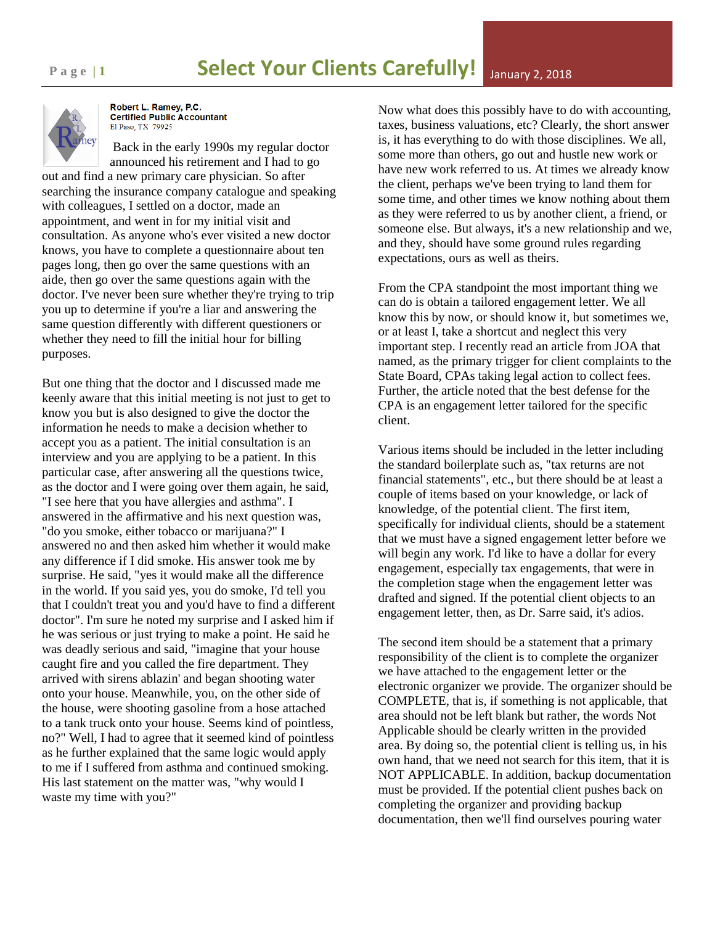

Robert L. Ramey, P.C. **Certified Public Accountant** El Paso, TX 79925

Back in the early 1990s my regular doctor announced his retirement and I had to go out and find a new primary care physician. So after searching the insurance company catalogue and speaking with colleagues, I settled on a doctor, made an appointment, and went in for my initial visit and consultation. As anyone who's ever visited a new doctor knows, you have to complete a questionnaire about ten pages long, then go over the same questions with an aide, then go over the same questions again with the doctor. I've never been sure whether they're trying to trip you up to determine if you're a liar and answering the same question differently with different questioners or whether they need to fill the initial hour for billing purposes.

But one thing that the doctor and I discussed made me keenly aware that this initial meeting is not just to get to know you but is also designed to give the doctor the information he needs to make a decision whether to accept you as a patient. The initial consultation is an interview and you are applying to be a patient. In this particular case, after answering all the questions twice, as the doctor and I were going over them again, he said, "I see here that you have allergies and asthma". I answered in the affirmative and his next question was, "do you smoke, either tobacco or marijuana?" I answered no and then asked him whether it would make any difference if I did smoke. His answer took me by surprise. He said, "yes it would make all the difference in the world. If you said yes, you do smoke, I'd tell you that I couldn't treat you and you'd have to find a different doctor". I'm sure he noted my surprise and I asked him if he was serious or just trying to make a point. He said he was deadly serious and said, "imagine that your house caught fire and you called the fire department. They arrived with sirens ablazin' and began shooting water onto your house. Meanwhile, you, on the other side of the house, were shooting gasoline from a hose attached to a tank truck onto your house. Seems kind of pointless, no?" Well, I had to agree that it seemed kind of pointless as he further explained that the same logic would apply to me if I suffered from asthma and continued smoking. His last statement on the matter was, "why would I waste my time with you?"

Now what does this possibly have to do with accounting, taxes, business valuations, etc? Clearly, the short answer is, it has everything to do with those disciplines. We all, some more than others, go out and hustle new work or have new work referred to us. At times we already know the client, perhaps we've been trying to land them for some time, and other times we know nothing about them as they were referred to us by another client, a friend, or someone else. But always, it's a new relationship and we, and they, should have some ground rules regarding expectations, ours as well as theirs.

From the CPA standpoint the most important thing we can do is obtain a tailored engagement letter. We all know this by now, or should know it, but sometimes we, or at least I, take a shortcut and neglect this very important step. I recently read an article from JOA that named, as the primary trigger for client complaints to the State Board, CPAs taking legal action to collect fees. Further, the article noted that the best defense for the CPA is an engagement letter tailored for the specific client.

Various items should be included in the letter including the standard boilerplate such as, "tax returns are not financial statements", etc., but there should be at least a couple of items based on your knowledge, or lack of knowledge, of the potential client. The first item, specifically for individual clients, should be a statement that we must have a signed engagement letter before we will begin any work. I'd like to have a dollar for every engagement, especially tax engagements, that were in the completion stage when the engagement letter was drafted and signed. If the potential client objects to an engagement letter, then, as Dr. Sarre said, it's adios.

The second item should be a statement that a primary responsibility of the client is to complete the organizer we have attached to the engagement letter or the electronic organizer we provide. The organizer should be COMPLETE, that is, if something is not applicable, that area should not be left blank but rather, the words Not Applicable should be clearly written in the provided area. By doing so, the potential client is telling us, in his own hand, that we need not search for this item, that it is NOT APPLICABLE. In addition, backup documentation must be provided. If the potential client pushes back on completing the organizer and providing backup documentation, then we'll find ourselves pouring water